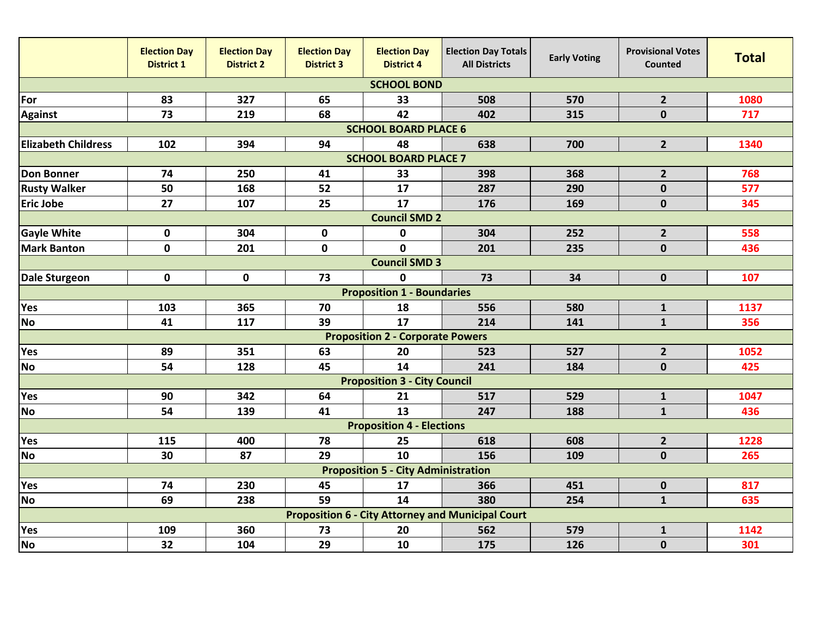|                                                          | <b>Election Day</b><br><b>District 1</b> | <b>Election Day</b><br><b>District 2</b> | <b>Election Day</b><br><b>District 3</b> | <b>Election Day</b><br><b>District 4</b> | <b>Election Day Totals</b><br><b>All Districts</b> | <b>Early Voting</b> | <b>Provisional Votes</b><br>Counted | <b>Total</b> |  |  |  |  |
|----------------------------------------------------------|------------------------------------------|------------------------------------------|------------------------------------------|------------------------------------------|----------------------------------------------------|---------------------|-------------------------------------|--------------|--|--|--|--|
| <b>SCHOOL BOND</b>                                       |                                          |                                          |                                          |                                          |                                                    |                     |                                     |              |  |  |  |  |
| For                                                      | 83                                       | 327                                      | 65                                       | 33                                       | 508                                                | 570                 | $\overline{2}$                      | 1080         |  |  |  |  |
| <b>Against</b>                                           | 73                                       | 219                                      | 68                                       | 42                                       | 402                                                | 315                 | $\mathbf 0$                         | 717          |  |  |  |  |
| <b>SCHOOL BOARD PLACE 6</b>                              |                                          |                                          |                                          |                                          |                                                    |                     |                                     |              |  |  |  |  |
| <b>Elizabeth Childress</b>                               | 102                                      | 394                                      | 94                                       | 48                                       | 638                                                | 700                 | 2 <sup>1</sup>                      | 1340         |  |  |  |  |
| <b>SCHOOL BOARD PLACE 7</b>                              |                                          |                                          |                                          |                                          |                                                    |                     |                                     |              |  |  |  |  |
| <b>Don Bonner</b>                                        | 74                                       | 250                                      | 41                                       | 33                                       | 398                                                | 368                 | $\overline{2}$                      | 768          |  |  |  |  |
| <b>Rusty Walker</b>                                      | 50                                       | 168                                      | 52                                       | 17                                       | 287                                                | 290                 | $\mathbf 0$                         | 577          |  |  |  |  |
| <b>Eric Jobe</b>                                         | 27                                       | 107                                      | 25                                       | 17                                       | 176                                                | 169                 | $\pmb{0}$                           | 345          |  |  |  |  |
|                                                          |                                          |                                          |                                          | <b>Council SMD 2</b>                     |                                                    |                     |                                     |              |  |  |  |  |
| <b>Gayle White</b>                                       | 0                                        | 304                                      | $\pmb{0}$                                | 0                                        | 304                                                | 252                 | $\overline{2}$                      | 558          |  |  |  |  |
| <b>Mark Banton</b>                                       | $\mathbf 0$                              | 201                                      | $\mathbf 0$                              | O                                        | 201                                                | 235                 | $\mathbf 0$                         | 436          |  |  |  |  |
|                                                          |                                          |                                          |                                          | <b>Council SMD 3</b>                     |                                                    |                     |                                     |              |  |  |  |  |
| <b>Dale Sturgeon</b>                                     | $\mathbf 0$                              | $\mathbf 0$                              | 73                                       | $\mathbf{0}$                             | 73                                                 | 34                  | $\mathbf 0$                         | 107          |  |  |  |  |
|                                                          |                                          |                                          |                                          | <b>Proposition 1 - Boundaries</b>        |                                                    |                     |                                     |              |  |  |  |  |
| Yes                                                      | 103                                      | 365                                      | 70                                       | 18                                       | 556                                                | 580                 | $\mathbf{1}$                        | 1137         |  |  |  |  |
| <b>No</b>                                                | 41                                       | 117                                      | 39                                       | 17                                       | 214                                                | 141                 | $\mathbf{1}$                        | 356          |  |  |  |  |
|                                                          |                                          |                                          |                                          | <b>Proposition 2 - Corporate Powers</b>  |                                                    |                     |                                     |              |  |  |  |  |
| Yes                                                      | 89                                       | 351                                      | 63                                       | 20                                       | 523                                                | 527                 | $\overline{2}$                      | 1052         |  |  |  |  |
| <b>No</b>                                                | 54                                       | 128                                      | 45                                       | 14                                       | 241                                                | 184                 | $\mathbf 0$                         | 425          |  |  |  |  |
|                                                          |                                          |                                          |                                          | <b>Proposition 3 - City Council</b>      |                                                    |                     |                                     |              |  |  |  |  |
| Yes                                                      | 90                                       | 342                                      | 64                                       | 21                                       | 517                                                | 529                 | $\mathbf{1}$                        | 1047         |  |  |  |  |
| <b>No</b>                                                | 54                                       | 139                                      | 41                                       | 13                                       | 247                                                | 188                 | $\mathbf{1}$                        | 436          |  |  |  |  |
| <b>Proposition 4 - Elections</b>                         |                                          |                                          |                                          |                                          |                                                    |                     |                                     |              |  |  |  |  |
| Yes                                                      | 115                                      | 400                                      | 78                                       | 25                                       | 618                                                | 608                 | $\overline{2}$                      | 1228         |  |  |  |  |
| <b>No</b>                                                | 30                                       | 87                                       | 29                                       | 10                                       | 156                                                | 109                 | $\mathbf 0$                         | 265          |  |  |  |  |
| <b>Proposition 5 - City Administration</b>               |                                          |                                          |                                          |                                          |                                                    |                     |                                     |              |  |  |  |  |
| Yes                                                      | 74                                       | 230                                      | 45                                       | 17                                       | 366                                                | 451                 | $\pmb{0}$                           | 817          |  |  |  |  |
| <b>No</b>                                                | 69                                       | 238                                      | 59                                       | 14                                       | 380                                                | 254                 | $\mathbf{1}$                        | 635          |  |  |  |  |
| <b>Proposition 6 - City Attorney and Municipal Court</b> |                                          |                                          |                                          |                                          |                                                    |                     |                                     |              |  |  |  |  |
| Yes                                                      | 109                                      | 360                                      | 73                                       | 20                                       | 562                                                | 579                 | $\mathbf{1}$                        | 1142         |  |  |  |  |
| <b>No</b>                                                | 32                                       | 104                                      | 29                                       | 10                                       | 175                                                | 126                 | $\mathbf 0$                         | 301          |  |  |  |  |